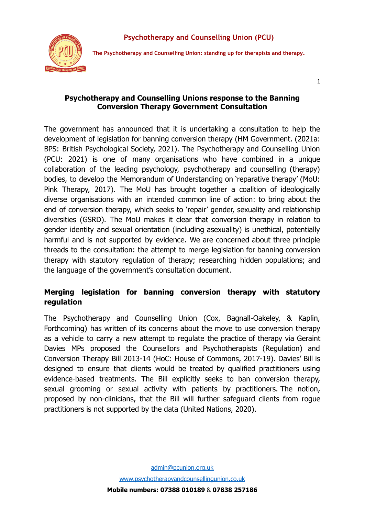

**The Psychotherapy and Counselling Union: standing up for therapists and therapy.**

1

### **Psychotherapy and Counselling Unions response to the Banning Conversion Therapy Government Consultation**

The government has announced that it is undertaking a consultation to help the development of legislation for banning conversion therapy (HM Government. (2021a: BPS: British Psychological Society, 2021). The Psychotherapy and Counselling Union (PCU: 2021) is one of many organisations who have combined in a unique collaboration of the leading psychology, psychotherapy and counselling (therapy) bodies, to develop the Memorandum of Understanding on 'reparative therapy' (MoU: Pink Therapy, 2017). The MoU has brought together a coalition of ideologically diverse organisations with an intended common line of action: to bring about the end of conversion therapy, which seeks to 'repair' gender, sexuality and relationship diversities (GSRD). The MoU makes it clear that conversion therapy in relation to gender identity and sexual orientation (including asexuality) is unethical, potentially harmful and is not supported by evidence. We are concerned about three principle threads to the consultation: the attempt to merge legislation for banning conversion therapy with statutory regulation of therapy; researching hidden populations; and the language of the government's consultation document.

# **Merging legislation for banning conversion therapy with statutory regulation**

The Psychotherapy and Counselling Union (Cox, Bagnall-Oakeley, & Kaplin, Forthcoming) has written of its concerns about the move to use conversion therapy as a vehicle to carry a new attempt to regulate the practice of therapy via Geraint Davies MPs proposed the Counsellors and Psychotherapists (Regulation) and Conversion Therapy Bill 2013-14 (HoC: House of Commons, 2017-19). Davies' Bill is designed to ensure that clients would be treated by qualified practitioners using evidence-based treatments. The Bill explicitly seeks to ban conversion therapy, sexual grooming or sexual activity with patients by practitioners. The notion, proposed by non-clinicians, that the Bill will further safeguard clients from rogue practitioners is not supported by the data (United Nations, 2020).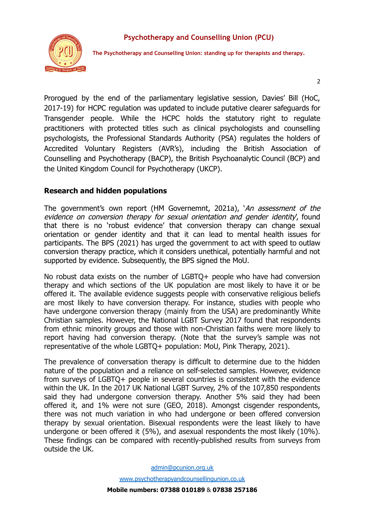

**The Psychotherapy and Counselling Union: standing up for therapists and therapy.**

 $\overline{2}$ 

Prorogued by the end of the parliamentary legislative session, Davies' Bill (HoC, 2017-19) for HCPC regulation was updated to include putative clearer safeguards for Transgender people. While the HCPC holds the statutory right to regulate practitioners with protected titles such as clinical psychologists and counselling psychologists, the Professional Standards Authority (PSA) regulates the holders of Accredited Voluntary Registers (AVR's), including the British Association of Counselling and Psychotherapy (BACP), the British Psychoanalytic Council (BCP) and the United Kingdom Council for Psychotherapy (UKCP).

## **Research and hidden populations**

The government's own report (HM Governemnt, 2021a), 'An assessment of the evidence on conversion therapy for sexual orientation and gender identity, found that there is no 'robust evidence' that conversion therapy can change sexual orientation or gender identity and that it can lead to mental health issues for participants. The BPS (2021) has urged the government to act with speed to outlaw conversion therapy practice, which it considers unethical, potentially harmful and not supported by evidence. Subsequently, the BPS signed the MoU.

No robust data exists on the number of LGBTQ+ people who have had conversion therapy and which sections of the UK population are most likely to have it or be offered it. The available evidence suggests people with conservative religious beliefs are most likely to have conversion therapy. For instance, studies with people who have undergone conversion therapy (mainly from the USA) are predominantly White Christian samples. However, the National LGBT Survey 2017 found that respondents from ethnic minority groups and those with non-Christian faiths were more likely to report having had conversion therapy. (Note that the survey's sample was not representative of the whole LGBTQ+ population: MoU, Pink Therapy, 2021).

The prevalence of conversation therapy is difficult to determine due to the hidden nature of the population and a reliance on self-selected samples. However, evidence from surveys of LGBTQ+ people in several countries is consistent with the evidence within the UK. In the 2017 UK National LGBT Survey, 2% of the 107,850 respondents said they had undergone conversion therapy. Another 5% said they had been offered it, and 1% were not sure (GEO, 2018). Amongst cisgender respondents, there was not much variation in who had undergone or been offered conversion therapy by sexual orientation. Bisexual respondents were the least likely to have undergone or been offered it (5%), and asexual respondents the most likely (10%). These findings can be compared with recently-published results from surveys from outside the UK.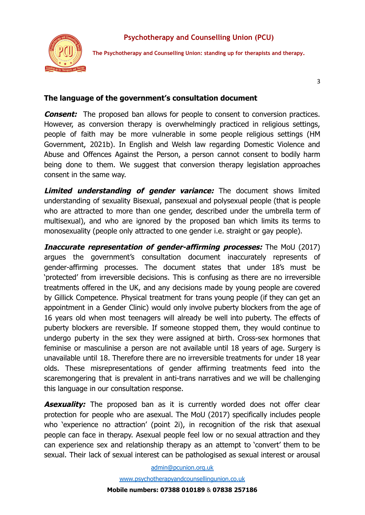



**The Psychotherapy and Counselling Union: standing up for therapists and therapy.**

3

### **The language of the government's consultation document**

**Consent:** The proposed ban allows for people to consent to conversion practices. However, as conversion therapy is overwhelmingly practiced in religious settings, people of faith may be more vulnerable in some people religious settings (HM Government, 2021b). In English and Welsh law regarding Domestic Violence and Abuse and Offences Against the Person, a person cannot consent to bodily harm being done to them. We suggest that conversion therapy legislation approaches consent in the same way.

**Limited understanding of gender variance:** The document shows limited understanding of sexuality Bisexual, pansexual and polysexual people (that is people who are attracted to more than one gender, described under the umbrella term of multisexual), and who are ignored by the proposed ban which limits its terms to monosexuality (people only attracted to one gender i.e. straight or gay people).

**Inaccurate representation of gender-affirming processes:** The MoU (2017) argues the government's consultation document inaccurately represents of gender-affirming processes. The document states that under 18's must be 'protected' from irreversible decisions. This is confusing as there are no irreversible treatments offered in the UK, and any decisions made by young people are covered by Gillick Competence. Physical treatment for trans young people (if they can get an appointment in a Gender Clinic) would only involve puberty blockers from the age of 16 years old when most teenagers will already be well into puberty. The effects of puberty blockers are reversible. If someone stopped them, they would continue to undergo puberty in the sex they were assigned at birth. Cross-sex hormones that feminise or masculinise a person are not available until 18 years of age. Surgery is unavailable until 18. Therefore there are no irreversible treatments for under 18 year olds. These misrepresentations of gender affirming treatments feed into the scaremongering that is prevalent in anti-trans narratives and we will be challenging this language in our consultation response.

**Asexuality:** The proposed ban as it is currently worded does not offer clear protection for people who are asexual. The MoU (2017) specifically includes people who 'experience no attraction' (point 2i), in recognition of the risk that asexual people can face in therapy. Asexual people feel low or no sexual attraction and they can experience sex and relationship therapy as an attempt to 'convert' them to be sexual. Their lack of sexual interest can be pathologised as sexual interest or arousal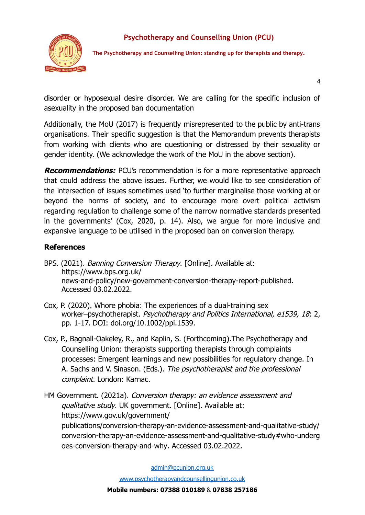



**The Psychotherapy and Counselling Union: standing up for therapists and therapy.**

4

disorder or hyposexual desire disorder. We are calling for the specific inclusion of asexuality in the proposed ban documentation

Additionally, the MoU (2017) is frequently misrepresented to the public by anti-trans organisations. Their specific suggestion is that the Memorandum prevents therapists from working with clients who are questioning or distressed by their sexuality or gender identity. (We acknowledge the work of the MoU in the above section).

**Recommendations:** PCU's recommendation is for a more representative approach that could address the above issues. Further, we would like to see consideration of the intersection of issues sometimes used 'to further marginalise those working at or beyond the norms of society, and to encourage more overt political activism regarding regulation to challenge some of the narrow normative standards presented in the governments' (Cox, 2020, p. 14). Also, we argue for more inclusive and expansive language to be utilised in the proposed ban on conversion therapy.

## **References**

- BPS. (2021). *Banning Conversion Therapy*. [Online]. Available at: [https://www.bps.org.uk/](https://www.bps.org.uk/%20news-and-policy/new-government-conversion-therapy-report-published) [news-and-policy/new-government-conversion-therapy-report-published](https://www.bps.org.uk/%20news-and-policy/new-government-conversion-therapy-report-published). Accessed 03.02.2022.
- Cox, P. (2020). Whore phobia: The experiences of a dual-training sex worker–psychotherapist. Psychotherapy and Politics International, e1539, 18: 2, pp. 1-17. DOI: [doi.org/10.1002/ppi.1539.](https://doi.org/10.1002/ppi.1539)
- Cox, P., Bagnall-Oakeley, R., and Kaplin, S. (Forthcoming).The Psychotherapy and Counselling Union: therapists supporting therapists through complaints processes: Emergent learnings and new possibilities for regulatory change. In A. Sachs and V. Sinason. (Eds.). The psychotherapist and the professional complaint. London: Karnac.
- HM Government. (2021a). Conversion therapy: an evidence assessment and qualitative study. UK government. [Online]. Available at: https://www.gov.uk/government/ [publications/conversion-therapy-an-evidence-assessment-and-qualitative-study/](https://www.gov.uk/government/publications/conversion-therapy-an-evidence-assessment-and-qualitative-study/conversion-therapy-an-evidence-assessment-and-qualitative-study#who-undergoes-conversion-therapy-and-why) [conversion-therapy-an-evidence-assessment-and-qualitative-study#who-underg](https://www.gov.uk/government/publications/conversion-therapy-an-evidence-assessment-and-qualitative-study/conversion-therapy-an-evidence-assessment-and-qualitative-study#who-undergoes-conversion-therapy-and-why) [oes-conversion-therapy-and-why](https://www.gov.uk/government/publications/conversion-therapy-an-evidence-assessment-and-qualitative-study/conversion-therapy-an-evidence-assessment-and-qualitative-study#who-undergoes-conversion-therapy-and-why). Accessed 03.02.2022.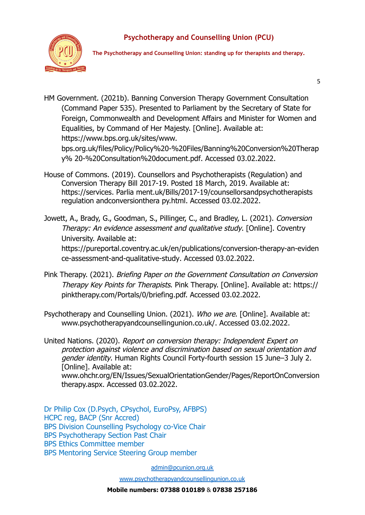

**The Psychotherapy and Counselling Union: standing up for therapists and therapy.**

5

HM Government. (2021b). Banning Conversion Therapy Government Consultation (Command Paper 535). Presented to Parliament by the Secretary of State for Foreign, Commonwealth and Development Affairs and Minister for Women and Equalities, by Command of Her Majesty. [Online]. Available at: [https://www.bps.org.uk/sites/www.](https://www.bps.org.uk/sites/www.%20bps.org.uk/files/Policy/Policy%20-%20Files/Banning%20Conversion%20Therapy%25%2020-%20Consultation%20document.pdf)

[bps.org.uk/files/Policy/Policy%20-%20Files/Banning%20Conversion%20Therap](https://www.bps.org.uk/sites/www.%20bps.org.uk/files/Policy/Policy%20-%20Files/Banning%20Conversion%20Therapy%25%2020-%20Consultation%20document.pdf) [y% 20-%20Consultation%20document.pdf.](https://www.bps.org.uk/sites/www.%20bps.org.uk/files/Policy/Policy%20-%20Files/Banning%20Conversion%20Therapy%25%2020-%20Consultation%20document.pdf) Accessed 03.02.2022.

- House of Commons. (2019). Counsellors and Psychotherapists (Regulation) and Conversion Therapy Bill 2017-19. Posted 18 March, 2019. Available at: https://services. Parlia ment.uk/Bills/2017-19/counsellorsandpsychotherapists regulation andconversionthera py.html. Accessed 03.02.2022.
- Jowett, A., Brady, G., Goodman, S., Pillinger, C., and Bradley, L. (2021). Conversion Therapy: An evidence assessment and qualitative study. [Online]. Coventry University. Available at: [https://pureportal.coventry.ac.uk/en/publications/conversion-therapy-an-eviden](https://pureportal.coventry.ac.uk/en/publications/conversion-therapy-an-evidence-assessment-and-qualitative-study) [ce-assessment-and-qualitative-study](https://pureportal.coventry.ac.uk/en/publications/conversion-therapy-an-evidence-assessment-and-qualitative-study). Accessed 03.02.2022.
- Pink Therapy. (2021). Briefing Paper on the Government Consultation on Conversion Therapy Key Points for Therapists. Pink Therapy. [Online]. Available at: https:// pinktherapy.com/Portals/0/briefing.pdf. Accessed 03.02.2022.
- Psychotherapy and Counselling Union. (2021). Who we are. [Online]. Available at: [www.psychotherapyandcounsellingunion.co.uk/.](http://www.psychotherapyandcounsellingunion.co.uk/) Accessed 03.02.2022.
- United Nations. (2020). Report on conversion therapy: Independent Expert on protection against violence and discrimination based on sexual orientation and gender identity. Human Rights Council Forty-fourth session 15 June–3 July 2. [Online]. Available at: [www.ohchr.org/EN/Issues/Sexual](http://www.ohchr.org/EN/Issues/Sexual)OrientationGender/Pages/ReportOnConversion therapy.aspx. Accessed 03.02.2022.

Dr Philip Cox (D.Psych, CPsychol, EuroPsy, AFBPS) HCPC reg, BACP (Snr Accred) BPS Division Counselling Psychology co-Vice Chair BPS Psychotherapy Section Past Chair BPS Ethics Committee member BPS Mentoring Service Steering Group member

[admin@pcunion.org.uk](http://admin@pcunion.org.uk)

[www.psychotherapyandcounsellingunion.co.uk](http://www.psychotherapyandcounsellingunion.co.uk)